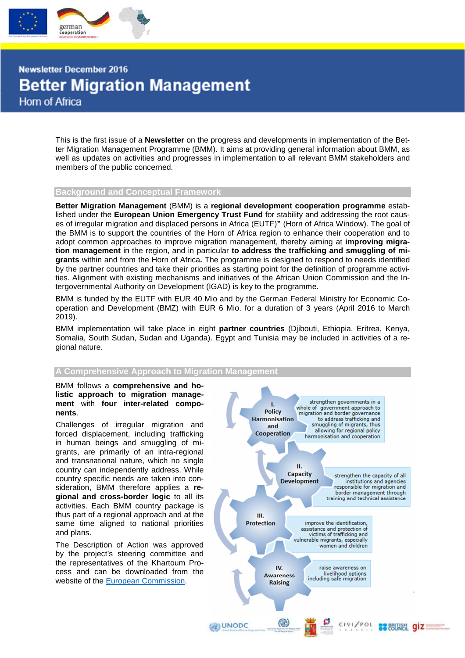

**Newsletter December 2016 Better Migration Management Horn of Africa** 

> This is the first issue of a **Newsletter** on the progress and developments in implementation of the Better Migration Management Programme (BMM). It aims at providing general information about BMM, as well as updates on activities and progresses in implementation to all relevant BMM stakeholders and members of the public concerned.

#### **Background and Conceptual Framework**

**Better Migration Management** (BMM) is a **regional development cooperation programme** established under the **European Union Emergency Trust Fund** for stability and addressing the root causes of irregular migration and displaced persons in Africa (EUTF)**"** (Horn of Africa Window). The goal of the BMM is to support the countries of the Horn of Africa region to enhance their cooperation and to adopt common approaches to improve migration management, thereby aiming at **improving migration management** in the region, and in particular **to address the trafficking and smuggling of migrants** within and from the Horn of Africa**.** The programme is designed to respond to needs identified by the partner countries and take their priorities as starting point for the definition of programme activities. Alignment with existing mechanisms and initiatives of the African Union Commission and the Intergovernmental Authority on Development (IGAD) is key to the programme.

BMM is funded by the EUTF with EUR 40 Mio and by the German Federal Ministry for Economic Cooperation and Development (BMZ) with EUR 6 Mio. for a duration of 3 years (April 2016 to March 2019).

BMM implementation will take place in eight **partner countries** (Djibouti, Ethiopia, Eritrea, Kenya, Somalia, South Sudan, Sudan and Uganda). Egypt and Tunisia may be included in activities of a regional nature.

### **A Comprehensive Approach to Migration**

#### BMM follows a **comprehensive and holistic approach to migration management** with **four inter-related components**.

Challenges of irregular migration and forced displacement, including trafficking in human beings and smuggling of migrants, are primarily of an intra-regional and transnational nature, which no single country can independently address. While country specific needs are taken into consideration, BMM therefore applies a **regional and cross-border logic** to all its activities. Each BMM country package is thus part of a regional approach and at the same time aligned to national priorities and plans.

The Description of Action was approved by the project's steering committee and the representatives of the Khartoum Process and can be downloaded from the website of the European Commission.

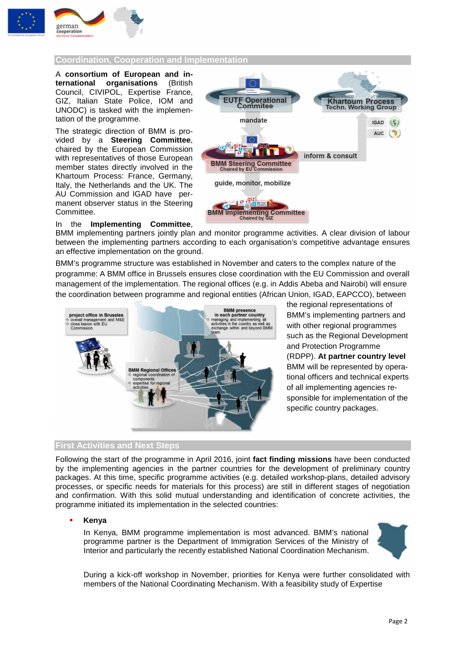

# **Coordination, Cooperation and Implementation**

A **consortium of European and international organisations** (British Council, CIVIPOL, Expertise France, GIZ, Italian State Police, IOM and UNODC) is tasked with the implementation of the programme.

The strategic direction of BMM is provided by a **Steering Committee**, chaired by the European Commission with representatives of those European member states directly involved in the Khartoum Process: France, Germany, Italy, the Netherlands and the UK. The AU Commission and IGAD have permanent observer status in the Steering Committee.



## In the **Implementing Committee**,

BMM implementing partners jointly plan and monitor programme activities. A clear division of labour between the implementing partners according to each organisation's competitive advantage ensures an effective implementation on the ground.

BMM's programme structure was established in November and caters to the complex nature of the programme: A BMM office in Brussels ensures close coordination with the EU Commission and overall management of the implementation. The regional offices (e.g. in Addis Abeba and Nairobi) will ensure the coordination between programme and regional entities (African Union, IGAD, EAPCCO), between



the regional representations of BMM's implementing partners and with other regional programmes such as the Regional Development and Protection Programme (RDPP). **At partner country level** BMM will be represented by operational officers and technical experts of all implementing agencies responsible for implementation of the specific country packages.

## **First Activities and Next Steps**

Following the start of the programme in April 2016, joint **fact finding missions** have been conducted by the implementing agencies in the partner countries for the development of preliminary country packages. At this time, specific programme activities (e.g. detailed workshop-plans, detailed advisory processes, or specific needs for materials for this process) are still in different stages of negotiation and confirmation. With this solid mutual understanding and identification of concrete activities, the programme initiated its implementation in the selected countries:

#### **Kenya**

In Kenya, BMM programme implementation is most advanced. BMM's national programme partner is the Department of Immigration Services of the Ministry of Interior and particularly the recently established National Coordination Mechanism.



During a kick-off workshop in November, priorities for Kenya were further consolidated with members of the National Coordinating Mechanism. With a feasibility study of Expertise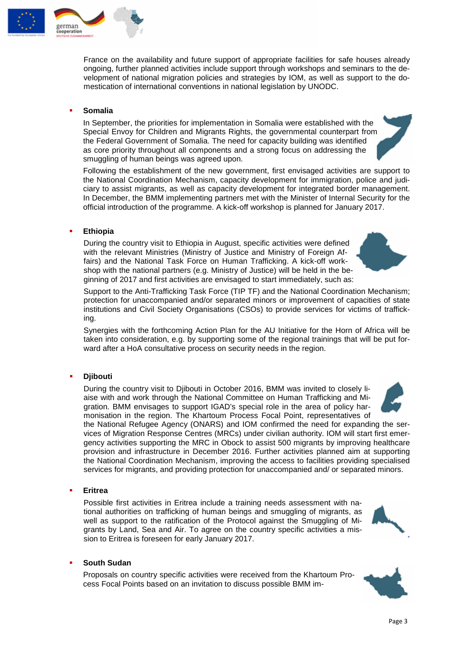

France on the availability and future support of appropriate facilities for safe houses already ongoing, further planned activities include support through workshops and seminars to the development of national migration policies and strategies by IOM, as well as support to the domestication of international conventions in national legislation by UNODC.

## **Somalia**

In September, the priorities for implementation in Somalia were established with the Special Envoy for Children and Migrants Rights, the governmental counterpart from the Federal Government of Somalia. The need for capacity building was identified as core priority throughout all components and a strong focus on addressing the smuggling of human beings was agreed upon.

Following the establishment of the new government, first envisaged activities are support to the National Coordination Mechanism, capacity development for immigration, police and judiciary to assist migrants, as well as capacity development for integrated border management. In December, the BMM implementing partners met with the Minister of Internal Security for the official introduction of the programme. A kick-off workshop is planned for January 2017.

## **Ethiopia**

During the country visit to Ethiopia in August, specific activities were defined with the relevant Ministries (Ministry of Justice and Ministry of Foreign Affairs) and the National Task Force on Human Trafficking. A kick-off workshop with the national partners (e.g. Ministry of Justice) will be held in the beginning of 2017 and first activities are envisaged to start immediately, such as:

Support to the Anti-Trafficking Task Force (TIP TF) and the National Coordination Mechanism; protection for unaccompanied and/or separated minors or improvement of capacities of state institutions and Civil Society Organisations (CSOs) to provide services for victims of trafficking.

Synergies with the forthcoming Action Plan for the AU Initiative for the Horn of Africa will be taken into consideration, e.g. by supporting some of the regional trainings that will be put forward after a HoA consultative process on security needs in the region.

## **Djibouti**

During the country visit to Djibouti in October 2016, BMM was invited to closely liaise with and work through the National Committee on Human Trafficking and Migration. BMM envisages to support IGAD's special role in the area of policy harmonisation in the region. The Khartoum Process Focal Point, representatives of

the National Refugee Agency (ONARS) and IOM confirmed the need for expanding the services of Migration Response Centres (MRCs) under civilian authority. IOM will start first emergency activities supporting the MRC in Obock to assist 500 migrants by improving healthcare provision and infrastructure in December 2016. Further activities planned aim at supporting the National Coordination Mechanism, improving the access to facilities providing specialised services for migrants, and providing protection for unaccompanied and/ or separated minors.

## **Eritrea**

Possible first activities in Eritrea include a training needs assessment with national authorities on trafficking of human beings and smuggling of migrants, as well as support to the ratification of the Protocol against the Smuggling of Migrants by Land, Sea and Air. To agree on the country specific activities a mission to Eritrea is foreseen for early January 2017.

## **South Sudan**

Proposals on country specific activities were received from the Khartoum Process Focal Points based on an invitation to discuss possible BMM im-